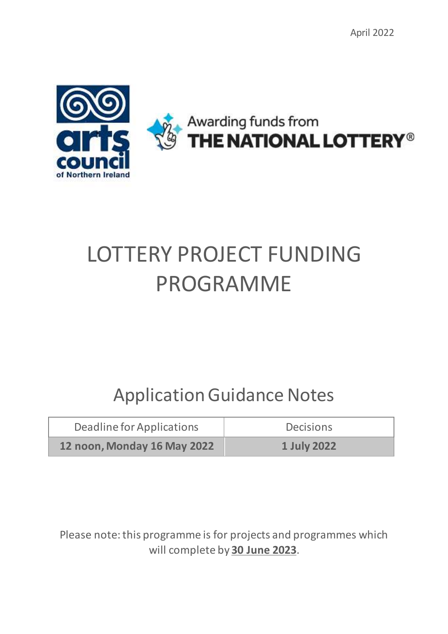

# LOTTERY PROJECT FUNDING PROGRAMME

# Application Guidance Notes

| Deadline for Applications   | <b>Decisions</b> |  |
|-----------------------------|------------------|--|
| 12 noon, Monday 16 May 2022 | 1 July 2022      |  |

Please note: this programme is for projects and programmes which will complete by **30 June 2023**.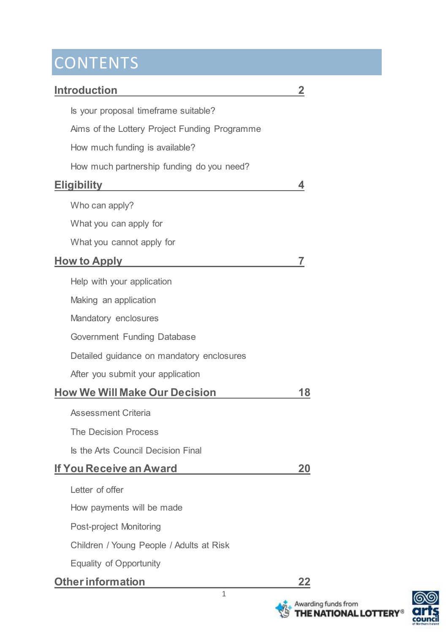## **CONTENTS**

## **Introduction 2** Is your proposal timeframe suitable? Aims of the Lottery Project Funding Programme How much funding is available? How much partnership funding do you need? **Eligibility 4** Who can apply? What you can apply for What you cannot apply for **How to Apply 7** Help with your application Making an application Mandatory enclosures Government Funding Database Detailed guidance on mandatory enclosures After you submit your application **How We Will Make Our Decision 18** Assessment Criteria The Decision Process Is the Arts Council Decision Final **If You Receive an Award 20** Letter of offer How payments will be made Post-project Monitoring Children / Young People / Adults at Risk Equality of Opportunity **Otherinformation 22**

1

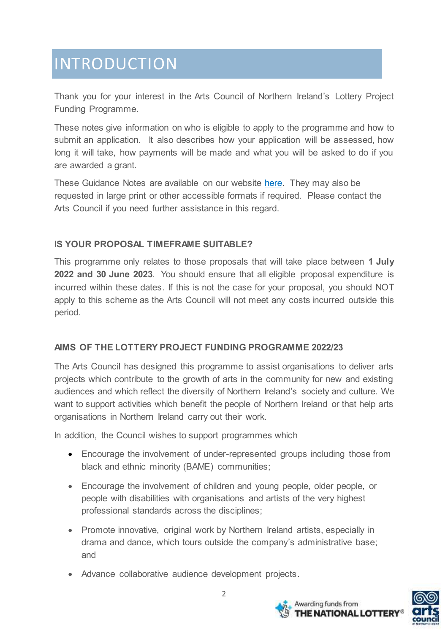# INTRODUCTION

Thank you for your interest in the Arts Council of Northern Ireland's Lottery Project Funding Programme.

These notes give information on who is eligible to apply to the programme and how to submit an application. It also describes how your application will be assessed, how long it will take, how payments will be made and what you will be asked to do if you are awarded a grant.

These Guidance Notes are available on our website [here.](http://www.artscouncil-ni.org/) They may also be requested in large print or other accessible formats if required. Please contact the Arts Council if you need further assistance in this regard.

### **IS YOUR PROPOSAL TIMEFRAME SUITABLE?**

This programme only relates to those proposals that will take place between **1 July 2022 and 30 June 2023**. You should ensure that all eligible proposal expenditure is incurred within these dates. If this is not the case for your proposal, you should NOT apply to this scheme as the Arts Council will not meet any costs incurred outside this period.

#### **AIMS OF THE LOTTERY PROJECT FUNDING PROGRAMME 2022/23**

The Arts Council has designed this programme to assist organisations to deliver arts projects which contribute to the growth of arts in the community for new and existing audiences and which reflect the diversity of Northern Ireland's society and culture. We want to support activities which benefit the people of Northern Ireland or that help arts organisations in Northern Ireland carry out their work.

In addition, the Council wishes to support programmes which

- Encourage the involvement of under-represented groups including those from black and ethnic minority (BAME) communities;
- Encourage the involvement of children and young people, older people, or people with disabilities with organisations and artists of the very highest professional standards across the disciplines;
- Promote innovative, original work by Northern Ireland artists, especially in drama and dance, which tours outside the company's administrative base; and
- Advance collaborative audience development projects.



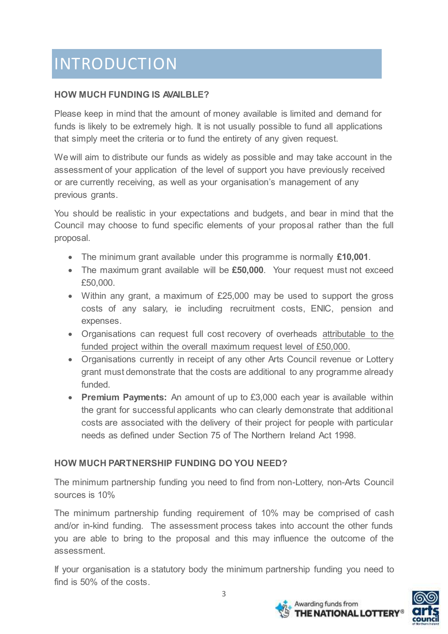# INTRODUCTION

## **HOW MUCH FUNDING IS AVAILBLE?**

Please keep in mind that the amount of money available is limited and demand for funds is likely to be extremely high. It is not usually possible to fund all applications that simply meet the criteria or to fund the entirety of any given request.

We will aim to distribute our funds as widely as possible and may take account in the assessment of your application of the level of support you have previously received or are currently receiving, as well as your organisation's management of any previous grants.

You should be realistic in your expectations and budgets, and bear in mind that the Council may choose to fund specific elements of your proposal rather than the full proposal.

- The minimum grant available under this programme is normally **£10,001**.
- The maximum grant available will be **£50,000**. Your request must not exceed £50,000.
- Within any grant, a maximum of £25,000 may be used to support the gross costs of any salary, ie including recruitment costs, ENIC, pension and expenses.
- Organisations can request full cost recovery of overheads attributable to the funded project within the overall maximum request level of £50,000.
- Organisations currently in receipt of any other Arts Council revenue or Lottery grant must demonstrate that the costs are additional to any programme already funded.
- **Premium Payments:** An amount of up to £3,000 each year is available within the grant for successful applicants who can clearly demonstrate that additional costs are associated with the delivery of their project for people with particular needs as defined under Section 75 of The Northern Ireland Act 1998.

## **HOW MUCH PARTNERSHIP FUNDING DO YOU NEED?**

The minimum partnership funding you need to find from non-Lottery, non-Arts Council sources is 10%

The minimum partnership funding requirement of 10% may be comprised of cash and/or in-kind funding. The assessment process takes into account the other funds you are able to bring to the proposal and this may influence the outcome of the assessment.

If your organisation is a statutory body the minimum partnership funding you need to find is 50% of the costs.



Awarding funds from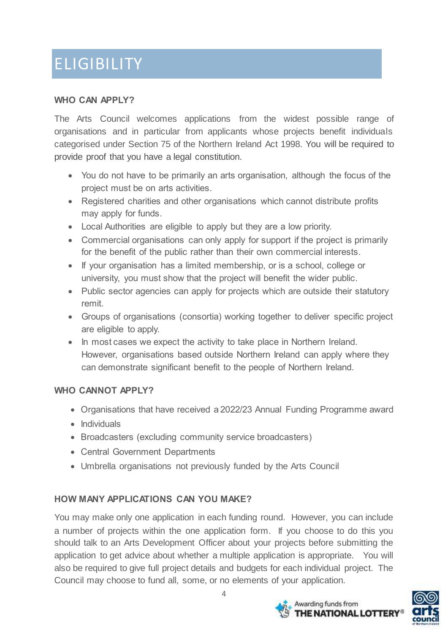# ELIGIBILITY

#### **WHO CAN APPLY?**

The Arts Council welcomes applications from the widest possible range of organisations and in particular from applicants whose projects benefit individuals categorised under Section 75 of the Northern Ireland Act 1998. You will be required to provide proof that you have a legal constitution.

- You do not have to be primarily an arts organisation, although the focus of the project must be on arts activities.
- Registered charities and other organisations which cannot distribute profits may apply for funds.
- Local Authorities are eligible to apply but they are a low priority.
- Commercial organisations can only apply for support if the project is primarily for the benefit of the public rather than their own commercial interests.
- If your organisation has a limited membership, or is a school, college or university, you must show that the project will benefit the wider public.
- Public sector agencies can apply for projects which are outside their statutory remit.
- Groups of organisations (consortia) working together to deliver specific project are eligible to apply.
- In most cases we expect the activity to take place in Northern Ireland. However, organisations based outside Northern Ireland can apply where they can demonstrate significant benefit to the people of Northern Ireland.

## **WHO CANNOT APPLY?**

- Organisations that have received a 2022/23 Annual Funding Programme award
- $\bullet$  Individuals
- Broadcasters (excluding community service broadcasters)
- Central Government Departments
- Umbrella organisations not previously funded by the Arts Council

## **HOW MANY APPLICATIONS CAN YOU MAKE?**

You may make only one application in each funding round. However, you can include a number of projects within the one application form. If you choose to do this you should talk to an Arts Development Officer about your projects before submitting the application to get advice about whether a multiple application is appropriate. You will also be required to give full project details and budgets for each individual project. The Council may choose to fund all, some, or no elements of your application.



Awarding funds from

THE NATIONAL LOTTERY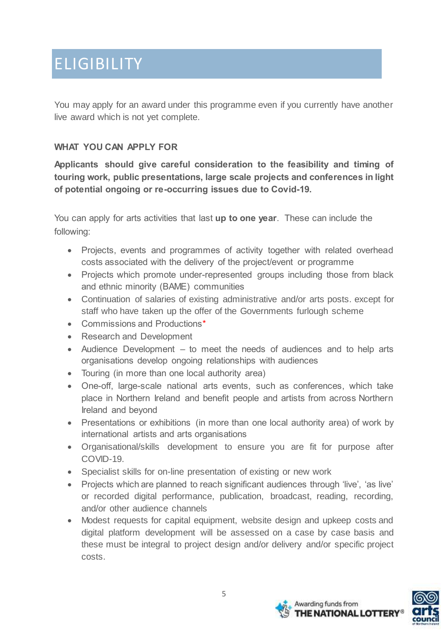## ELIGIBILITY

You may apply for an award under this programme even if you currently have another live award which is not yet complete.

### **WHAT YOU CAN APPLY FOR**

**Applicants should give careful consideration to the feasibility and timing of touring work, public presentations, large scale projects and conferences in light of potential ongoing or re-occurring issues due to Covid-19.** 

You can apply for arts activities that last **up to one year**. These can include the following:

- Projects, events and programmes of activity together with related overhead costs associated with the delivery of the project/event or programme
- Projects which promote under-represented groups including those from black and ethnic minority (BAME) communities
- Continuation of salaries of existing administrative and/or arts posts. except for staff who have taken up the offer of the Governments furlough scheme
- Commissions and Productions\*
- Research and Development
- Audience Development to meet the needs of audiences and to help arts organisations develop ongoing relationships with audiences
- Touring (in more than one local authority area)
- One-off, large-scale national arts events, such as conferences, which take place in Northern Ireland and benefit people and artists from across Northern Ireland and beyond
- Presentations or exhibitions (in more than one local authority area) of work by international artists and arts organisations
- Organisational/skills development to ensure you are fit for purpose after COVID-19.
- Specialist skills for on-line presentation of existing or new work
- Projects which are planned to reach significant audiences through 'live', 'as live' or recorded digital performance, publication, broadcast, reading, recording, and/or other audience channels
- Modest requests for capital equipment, website design and upkeep costs and digital platform development will be assessed on a case by case basis and these must be integral to project design and/or delivery and/or specific project costs.



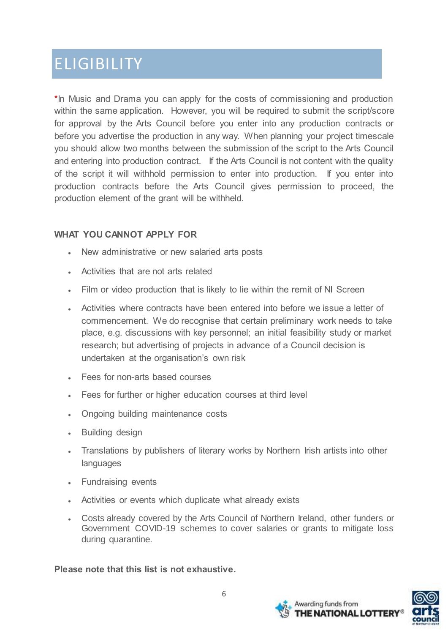## **ELIGIBILITY**

\*In Music and Drama you can apply for the costs of commissioning and production within the same application. However, you will be required to submit the script/score for approval by the Arts Council before you enter into any production contracts or before you advertise the production in any way. When planning your project timescale you should allow two months between the submission of the script to the Arts Council and entering into production contract. If the Arts Council is not content with the quality of the script it will withhold permission to enter into production. If you enter into production contracts before the Arts Council gives permission to proceed, the production element of the grant will be withheld.

### **WHAT YOU CANNOT APPLY FOR**

- New administrative or new salaried arts posts
- Activities that are not arts related
- Film or video production that is likely to lie within the remit of NI Screen
- Activities where contracts have been entered into before we issue a letter of commencement. We do recognise that certain preliminary work needs to take place, e.g. discussions with key personnel; an initial feasibility study or market research; but advertising of projects in advance of a Council decision is undertaken at the organisation's own risk
- **Fees for non-arts based courses**
- Fees for further or higher education courses at third level
- Ongoing building maintenance costs
- Building design
- Translations by publishers of literary works by Northern Irish artists into other languages
- Fundraising events
- Activities or events which duplicate what already exists
- Costs already covered by the Arts Council of Northern Ireland, other funders or Government COVID-19 schemes to cover salaries or grants to mitigate loss during quarantine.

**Please note that this list is not exhaustive.** 

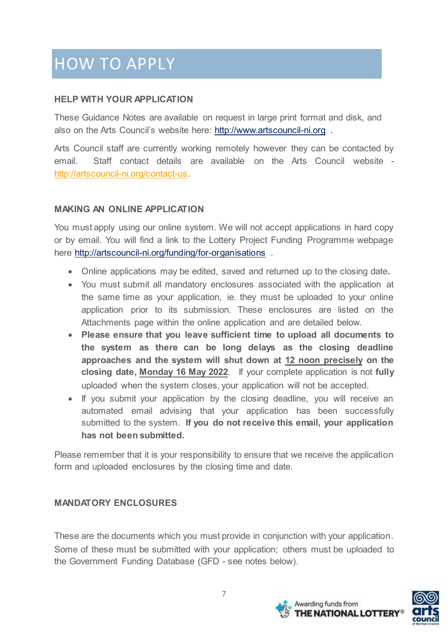### **HELP WITH YOUR APPLICATION**

These Guidance Notes are available on request in large print format and disk, and also on the Arts Council's website here: [http://www.artscouncil-ni.org](http://www.artscouncil-ni.org/) .

Arts Council staff are currently working remotely however they can be contacted by email. Staff contact details are available on the Arts Council website [http://artscouncil-ni.org/contact-us.](http://artscouncil-ni.org/contact-us)

#### **MAKING AN ONLINE APPLICATION**

You must apply using our online system. We will not accept applications in hard copy or by email. You will find a link to the Lottery Project Funding Programme webpage here<http://artscouncil-ni.org/funding/for-organisations>.

- Online applications may be edited, saved and returned up to the closing date**.**
- You must submit all mandatory enclosures associated with the application at the same time as your application, ie. they must be uploaded to your online application prior to its submission. These enclosures are listed on the Attachments page within the online application and are detailed below.
- **Please ensure that you leave sufficient time to upload all documents to the system as there can be long delays as the closing deadline approaches and the system will shut down at 12 noon precisely on the closing date, Monday 16 May 2022**. If your complete application is not **fully** uploaded when the system closes, your application will not be accepted.
- If you submit your application by the closing deadline, you will receive an automated email advising that your application has been successfully submitted to the system. **If you do not receive this email, your application has not been submitted.**

Please remember that it is your responsibility to ensure that we receive the application form and uploaded enclosures by the closing time and date.

## **MANDATORY ENCLOSURES**

These are the documents which you must provide in conjunction with your application. Some of these must be submitted with your application; others must be uploaded to the Government Funding Database (GFD - see notes below).



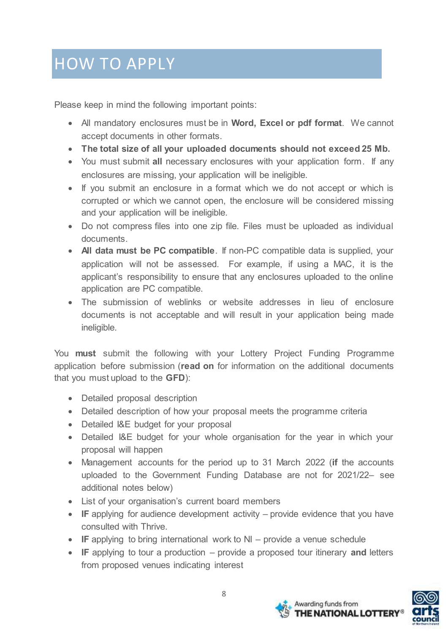Please keep in mind the following important points:

- All mandatory enclosures must be in **Word, Excel or pdf format**. We cannot accept documents in other formats.
- **The total size of all your uploaded documents should not exceed 25 Mb.**
- You must submit **all** necessary enclosures with your application form. If any enclosures are missing, your application will be ineligible.
- If you submit an enclosure in a format which we do not accept or which is corrupted or which we cannot open, the enclosure will be considered missing and your application will be ineligible.
- Do not compress files into one zip file. Files must be uploaded as individual documents.
- **All data must be PC compatible**. If non-PC compatible data is supplied, your application will not be assessed. For example, if using a MAC, it is the applicant's responsibility to ensure that any enclosures uploaded to the online application are PC compatible.
- The submission of weblinks or website addresses in lieu of enclosure documents is not acceptable and will result in your application being made ineligible.

You **must** submit the following with your Lottery Project Funding Programme application before submission (**read on** for information on the additional documents that you must upload to the **GFD**):

- Detailed proposal description
- Detailed description of how your proposal meets the programme criteria
- Detailed I&E budget for your proposal
- Detailed I&E budget for your whole organisation for the year in which your proposal will happen
- Management accounts for the period up to 31 March 2022 (**if** the accounts uploaded to the Government Funding Database are not for 2021/22– see additional notes below)
- List of your organisation's current board members
- **IF** applying for audience development activity provide evidence that you have consulted with Thrive.
- IF applying to bring international work to NI provide a venue schedule
- **IF** applying to tour a production provide a proposed tour itinerary **and** letters from proposed venues indicating interest



Awarding funds from

THE NATIONAL LOTTERY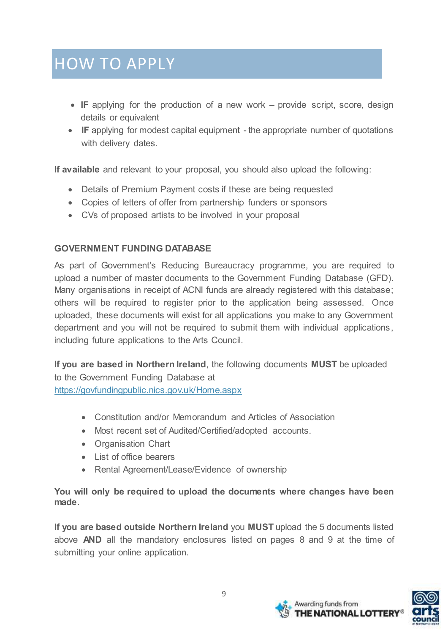- **IF** applying for the production of a new work provide script, score, design details or equivalent
- IF applying for modest capital equipment the appropriate number of quotations with delivery dates.

**If available** and relevant to your proposal, you should also upload the following:

- Details of Premium Payment costs if these are being requested
- Copies of letters of offer from partnership funders or sponsors
- CVs of proposed artists to be involved in your proposal

### **GOVERNMENT FUNDING DATABASE**

As part of Government's Reducing Bureaucracy programme, you are required to upload a number of master documents to the Government Funding Database (GFD). Many organisations in receipt of ACNI funds are already registered with this database; others will be required to register prior to the application being assessed. Once uploaded, these documents will exist for all applications you make to any Government department and you will not be required to submit them with individual applications, including future applications to the Arts Council.

**If you are based in Northern Ireland**, the following documents **MUST** be uploaded to the Government Funding Database at <https://govfundingpublic.nics.gov.uk/Home.aspx>

- Constitution and/or Memorandum and Articles of Association
- Most recent set of Audited/Certified/adopted accounts.
- Organisation Chart
- List of office bearers
- Rental Agreement/Lease/Evidence of ownership

**You will only be required to upload the documents where changes have been made.** 

**If you are based outside Northern Ireland** you **MUST** upload the 5 documents listed above **AND** all the mandatory enclosures listed on pages 8 and 9 at the time of submitting your online application.

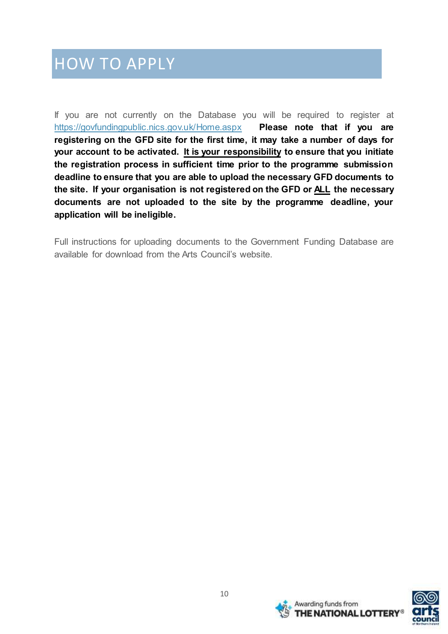If you are not currently on the Database you will be required to register at <https://govfundingpublic.nics.gov.uk/Home.aspx> **Please note that if you are registering on the GFD site for the first time, it may take a number of days for your account to be activated. It is your responsibility to ensure that you initiate the registration process in sufficient time prior to the programme submission deadline to ensure that you are able to upload the necessary GFD documents to the site. If your organisation is not registered on the GFD or ALL the necessary documents are not uploaded to the site by the programme deadline, your application will be ineligible.**

Full instructions for uploading documents to the Government Funding Database are available for download from the Arts Council's website.



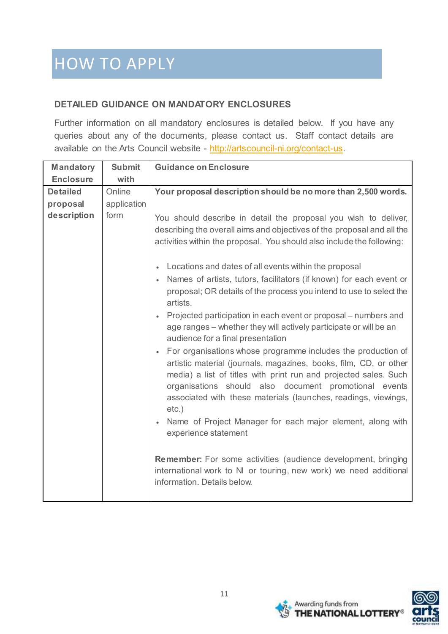## **DETAILED GUIDANCE ON MANDATORY ENCLOSURES**

Further information on all mandatory enclosures is detailed below. If you have any queries about any of the documents, please contact us. Staff contact details are available on the Arts Council website - [http://artscouncil-ni.org/contact-us.](http://artscouncil-ni.org/contact-us)

| <b>Mandatory</b>                           | <b>Submit</b>                 | <b>Guidance on Enclosure</b>                                                                                                                                                                                                                                                                                                                                                                                                                                                                                                                                                                                                                                                                                                                                                                                                                                                                                                                                                                                                                                                                                                                                                                                                                                                         |
|--------------------------------------------|-------------------------------|--------------------------------------------------------------------------------------------------------------------------------------------------------------------------------------------------------------------------------------------------------------------------------------------------------------------------------------------------------------------------------------------------------------------------------------------------------------------------------------------------------------------------------------------------------------------------------------------------------------------------------------------------------------------------------------------------------------------------------------------------------------------------------------------------------------------------------------------------------------------------------------------------------------------------------------------------------------------------------------------------------------------------------------------------------------------------------------------------------------------------------------------------------------------------------------------------------------------------------------------------------------------------------------|
| <b>Enclosure</b>                           | with                          |                                                                                                                                                                                                                                                                                                                                                                                                                                                                                                                                                                                                                                                                                                                                                                                                                                                                                                                                                                                                                                                                                                                                                                                                                                                                                      |
| <b>Detailed</b><br>proposal<br>description | Online<br>application<br>form | Your proposal description should be no more than 2,500 words.<br>You should describe in detail the proposal you wish to deliver,<br>describing the overall aims and objectives of the proposal and all the<br>activities within the proposal. You should also include the following:<br>Locations and dates of all events within the proposal<br>Names of artists, tutors, facilitators (if known) for each event or<br>$\bullet$<br>proposal; OR details of the process you intend to use to select the<br>artists.<br>Projected participation in each event or proposal – numbers and<br>age ranges – whether they will actively participate or will be an<br>audience for a final presentation<br>For organisations whose programme includes the production of<br>artistic material (journals, magazines, books, film, CD, or other<br>media) a list of titles with print run and projected sales. Such<br>organisations should also document promotional events<br>associated with these materials (launches, readings, viewings,<br>$etc.$ )<br>Name of Project Manager for each major element, along with<br>experience statement<br><b>Remember:</b> For some activities (audience development, bringing<br>international work to NI or touring, new work) we need additional |
|                                            |                               | information. Details below.                                                                                                                                                                                                                                                                                                                                                                                                                                                                                                                                                                                                                                                                                                                                                                                                                                                                                                                                                                                                                                                                                                                                                                                                                                                          |



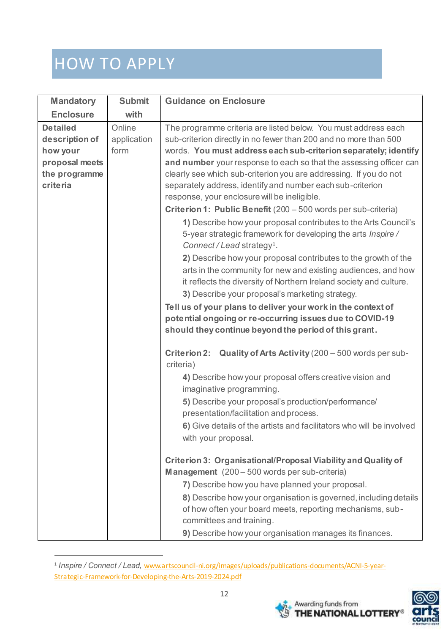j

| <b>Mandatory</b>                                                                                    | <b>Submit</b>                 | <b>Guidance on Enclosure</b>                                                                                                                                                                                                                                                                                                                                                                                                                                                                                                                                                                                                                                                                                                                                                                                                                                                                                                                                                                                                                                                                                                                                                                                                                                                                                      |
|-----------------------------------------------------------------------------------------------------|-------------------------------|-------------------------------------------------------------------------------------------------------------------------------------------------------------------------------------------------------------------------------------------------------------------------------------------------------------------------------------------------------------------------------------------------------------------------------------------------------------------------------------------------------------------------------------------------------------------------------------------------------------------------------------------------------------------------------------------------------------------------------------------------------------------------------------------------------------------------------------------------------------------------------------------------------------------------------------------------------------------------------------------------------------------------------------------------------------------------------------------------------------------------------------------------------------------------------------------------------------------------------------------------------------------------------------------------------------------|
| <b>Enclosure</b>                                                                                    | with                          |                                                                                                                                                                                                                                                                                                                                                                                                                                                                                                                                                                                                                                                                                                                                                                                                                                                                                                                                                                                                                                                                                                                                                                                                                                                                                                                   |
| <b>Detailed</b><br>description of<br>how your<br>proposal meets<br>the programme<br><b>criteria</b> | Online<br>application<br>form | The programme criteria are listed below. You must address each<br>sub-criterion directly in no fewer than 200 and no more than 500<br>words. You must address each sub-criterion separately; identify<br>and number your response to each so that the assessing officer can<br>clearly see which sub-criterion you are addressing. If you do not<br>separately address, identify and number each sub-criterion<br>response, your enclosure will be ineligible.<br>Criterion 1: Public Benefit (200 - 500 words per sub-criteria)<br>1) Describe how your proposal contributes to the Arts Council's<br>5-year strategic framework for developing the arts Inspire/<br>Connect/Lead strategy <sup>1</sup> .<br>2) Describe how your proposal contributes to the growth of the<br>arts in the community for new and existing audiences, and how<br>it reflects the diversity of Northern Ireland society and culture.<br>3) Describe your proposal's marketing strategy.<br>Tell us of your plans to deliver your work in the context of<br>potential ongoing or re-occurring issues due to COVID-19<br>should they continue beyond the period of this grant.<br>Quality of Arts Activity (200 - 500 words per sub-<br><b>Criterion 2:</b><br>criteria)<br>4) Describe how your proposal offers creative vision and |
|                                                                                                     |                               | imaginative programming.<br>5) Describe your proposal's production/performance/<br>presentation/facilitation and process.<br>6) Give details of the artists and facilitators who will be involved<br>with your proposal.<br>Criterion 3: Organisational/Proposal Viability and Quality of<br>Management (200 - 500 words per sub-criteria)<br>7) Describe how you have planned your proposal.<br>8) Describe how your organisation is governed, including details<br>of how often your board meets, reporting mechanisms, sub-<br>committees and training.<br>9) Describe how your organisation manages its finances.                                                                                                                                                                                                                                                                                                                                                                                                                                                                                                                                                                                                                                                                                             |

<sup>1</sup> *Inspire / Connect / Lead,* [www.artscouncil-ni.org/images/uploads/publications-documents/ACNI-5-year-](http://www.artscouncil-ni.org/images/uploads/publications-documents/ACNI-5-year-Strategic-Framework-for-Developing-the-Arts-2019-2024.pdf)[Strategic-Framework-for-Developing-the-Arts-2019-2024.pdf](http://www.artscouncil-ni.org/images/uploads/publications-documents/ACNI-5-year-Strategic-Framework-for-Developing-the-Arts-2019-2024.pdf)



Awarding funds from<br>THE NATIONAL LOTTERY<sup>®</sup>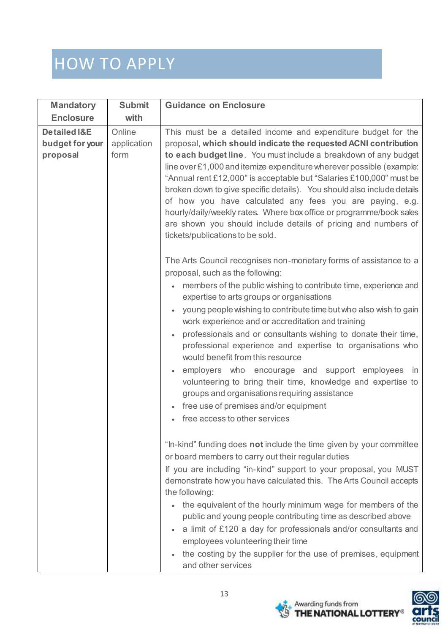| <b>Mandatory</b>                                       | <b>Submit</b>                 | <b>Guidance on Enclosure</b>                                                                                                                                                                                                                                                                                                                                                                                                                                                                                                                                                                                                                                                                                                                                        |
|--------------------------------------------------------|-------------------------------|---------------------------------------------------------------------------------------------------------------------------------------------------------------------------------------------------------------------------------------------------------------------------------------------------------------------------------------------------------------------------------------------------------------------------------------------------------------------------------------------------------------------------------------------------------------------------------------------------------------------------------------------------------------------------------------------------------------------------------------------------------------------|
| <b>Enclosure</b>                                       | with                          |                                                                                                                                                                                                                                                                                                                                                                                                                                                                                                                                                                                                                                                                                                                                                                     |
| <b>Detailed I&amp;E</b><br>budget for your<br>proposal | Online<br>application<br>form | This must be a detailed income and expenditure budget for the<br>proposal, which should indicate the requested ACNI contribution<br>to each budget line. You must include a breakdown of any budget<br>line over £1,000 and itemize expenditure wherever possible (example:<br>"Annual rent £12,000" is acceptable but "Salaries £100,000" must be<br>broken down to give specific details). You should also include details<br>of how you have calculated any fees you are paying, e.g.<br>hourly/daily/weekly rates. Where box office or programme/book sales<br>are shown you should include details of pricing and numbers of<br>tickets/publications to be sold.                                                                                               |
|                                                        |                               | The Arts Council recognises non-monetary forms of assistance to a<br>proposal, such as the following:<br>members of the public wishing to contribute time, experience and<br>expertise to arts groups or organisations<br>young people wishing to contribute time but who also wish to gain<br>work experience and or accreditation and training<br>professionals and or consultants wishing to donate their time,<br>professional experience and expertise to organisations who<br>would benefit from this resource<br>employers who encourage and support employees in<br>volunteering to bring their time, knowledge and expertise to<br>groups and organisations requiring assistance<br>free use of premises and/or equipment<br>free access to other services |
|                                                        |                               | "In-kind" funding does not include the time given by your committee<br>or board members to carry out their regular duties<br>If you are including "in-kind" support to your proposal, you MUST<br>demonstrate how you have calculated this. The Arts Council accepts<br>the following:<br>the equivalent of the hourly minimum wage for members of the<br>public and young people contributing time as described above<br>a limit of £120 a day for professionals and/or consultants and<br>employees volunteering their time<br>the costing by the supplier for the use of premises, equipment<br>and other services                                                                                                                                               |



**Azi** Awarding funds from<br>**SO THE NATIONAL LOTTERY**<sup>®</sup>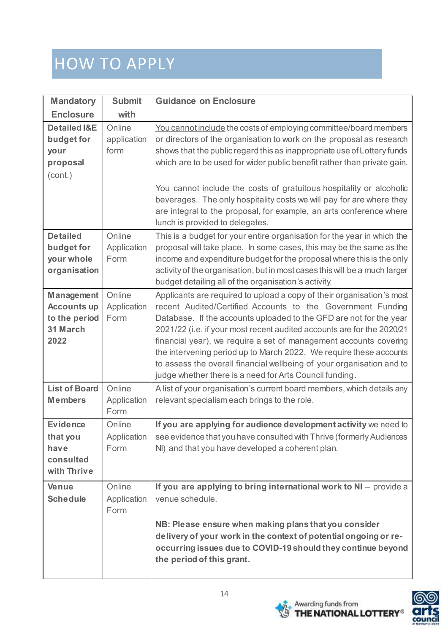| <b>Mandatory</b>                                                             | <b>Submit</b>                 | <b>Guidance on Enclosure</b>                                                                                                                                                                                                                                                                                                                                                                                                                                                                                                                                        |
|------------------------------------------------------------------------------|-------------------------------|---------------------------------------------------------------------------------------------------------------------------------------------------------------------------------------------------------------------------------------------------------------------------------------------------------------------------------------------------------------------------------------------------------------------------------------------------------------------------------------------------------------------------------------------------------------------|
| <b>Enclosure</b>                                                             | with                          |                                                                                                                                                                                                                                                                                                                                                                                                                                                                                                                                                                     |
| <b>Detailed I&amp;E</b><br>budget for<br>your<br>proposal<br>(cont.)         | Online<br>application<br>form | You cannot include the costs of employing committee/board members<br>or directors of the organisation to work on the proposal as research<br>shows that the public regard this as inappropriate use of Lottery funds<br>which are to be used for wider public benefit rather than private gain.<br>You cannot include the costs of gratuitous hospitality or alcoholic<br>beverages. The only hospitality costs we will pay for are where they<br>are integral to the proposal, for example, an arts conference where<br>lunch is provided to delegates.            |
| <b>Detailed</b><br>budget for<br>your whole<br>organisation                  | Online<br>Application<br>Form | This is a budget for your entire organisation for the year in which the<br>proposal will take place. In some cases, this may be the same as the<br>income and expenditure budget for the proposal where this is the only<br>activity of the organisation, but in most cases this will be a much larger<br>budget detailing all of the organisation's activity.                                                                                                                                                                                                      |
| <b>Management</b><br><b>Accounts up</b><br>to the period<br>31 March<br>2022 | Online<br>Application<br>Form | Applicants are required to upload a copy of their organisation's most<br>recent Audited/Certified Accounts to the Government Funding<br>Database. If the accounts uploaded to the GFD are not for the year<br>2021/22 (i.e. if your most recent audited accounts are for the 2020/21<br>financial year), we require a set of management accounts covering<br>the intervening period up to March 2022. We require these accounts<br>to assess the overall financial wellbeing of your organisation and to<br>judge whether there is a need for Arts Council funding. |
| <b>List of Board</b><br><b>Members</b>                                       | Online<br>Application<br>Form | A list of your organisation's current board members, which details any<br>relevant specialism each brings to the role.                                                                                                                                                                                                                                                                                                                                                                                                                                              |
| <b>Evidence</b><br>that you<br>have<br>consulted<br>with Thrive              | Online<br>Application<br>Form | If you are applying for audience development activity we need to<br>see evidence that you have consulted with Thrive (formerly Audiences<br>NI) and that you have developed a coherent plan.                                                                                                                                                                                                                                                                                                                                                                        |
| Venue<br><b>Schedule</b>                                                     | Online<br>Application<br>Form | If you are applying to bring international work to NI - provide a<br>venue schedule.<br>NB: Please ensure when making plans that you consider<br>delivery of your work in the context of potential ongoing or re-<br>occurring issues due to COVID-19 should they continue beyond<br>the period of this grant.                                                                                                                                                                                                                                                      |



**Azi** Awarding funds from<br>**SO THE NATIONAL LOTTERY**<sup>®</sup>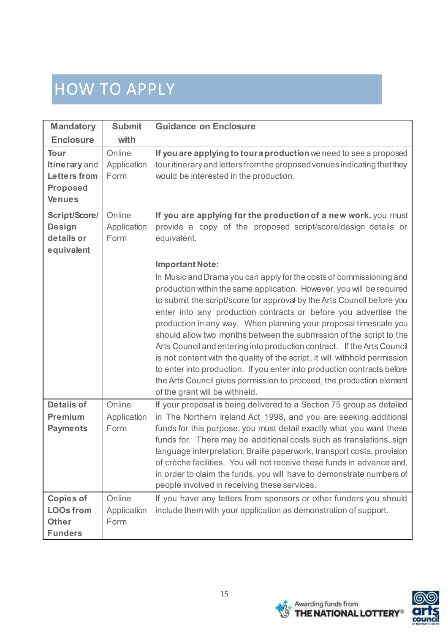| <b>Mandatory</b>                                                                        | <b>Submit</b>                 | <b>Guidance on Enclosure</b>                                                                                                                                                                                                                                                                                                                                                                                                                                                                                                                                                                                                                                                                                                                                                                                                                                                                                                                                   |
|-----------------------------------------------------------------------------------------|-------------------------------|----------------------------------------------------------------------------------------------------------------------------------------------------------------------------------------------------------------------------------------------------------------------------------------------------------------------------------------------------------------------------------------------------------------------------------------------------------------------------------------------------------------------------------------------------------------------------------------------------------------------------------------------------------------------------------------------------------------------------------------------------------------------------------------------------------------------------------------------------------------------------------------------------------------------------------------------------------------|
| <b>Enclosure</b>                                                                        | with                          |                                                                                                                                                                                                                                                                                                                                                                                                                                                                                                                                                                                                                                                                                                                                                                                                                                                                                                                                                                |
| <b>Tour</b><br>Itinerary and<br><b>Letters from</b><br><b>Proposed</b><br><b>Venues</b> | Online<br>Application<br>Form | If you are applying to tour a production we need to see a proposed<br>tour itinerary and letters from the proposed venues indicating that they<br>would be interested in the production.                                                                                                                                                                                                                                                                                                                                                                                                                                                                                                                                                                                                                                                                                                                                                                       |
| Script/Score/<br><b>Design</b><br>details or<br>equivalent                              | Online<br>Application<br>Form | If you are applying for the production of a new work, you must<br>provide a copy of the proposed script/score/design details or<br>equivalent.<br><b>Important Note:</b><br>In Music and Drama you can apply for the costs of commissioning and<br>production within the same application. However, you will be required<br>to submit the script/score for approval by the Arts Council before you<br>enter into any production contracts or before you advertise the<br>production in any way. When planning your proposal timescale you<br>should allow two months between the submission of the script to the<br>Arts Council and entering into production contract. If the Arts Council<br>is not content with the quality of the script, it will withhold permission<br>to enter into production. If you enter into production contracts before<br>the Arts Council gives permission to proceed, the production element<br>of the grant will be withheld. |
| <b>Details of</b><br>Premium<br><b>Payments</b>                                         | Online<br>Application<br>Form | If your proposal is being delivered to a Section 75 group as detailed<br>in The Northern Ireland Act 1998, and you are seeking additional<br>funds for this purpose, you must detail exactly what you want these<br>funds for. There may be additional costs such as translations, sign<br>language interpretation, Braille paperwork, transport costs, provision<br>of crèche facilities. You will not receive these funds in advance and,<br>in order to claim the funds, you will have to demonstrate numbers of<br>people involved in receiving these services.                                                                                                                                                                                                                                                                                                                                                                                            |
| <b>Copies of</b><br><b>LOOs from</b><br><b>Other</b><br><b>Funders</b>                  | Online<br>Application<br>Form | If you have any letters from sponsors or other funders you should<br>include them with your application as demonstration of support.                                                                                                                                                                                                                                                                                                                                                                                                                                                                                                                                                                                                                                                                                                                                                                                                                           |



Awarding funds from<br>Set THE NATIONAL LOTTERY®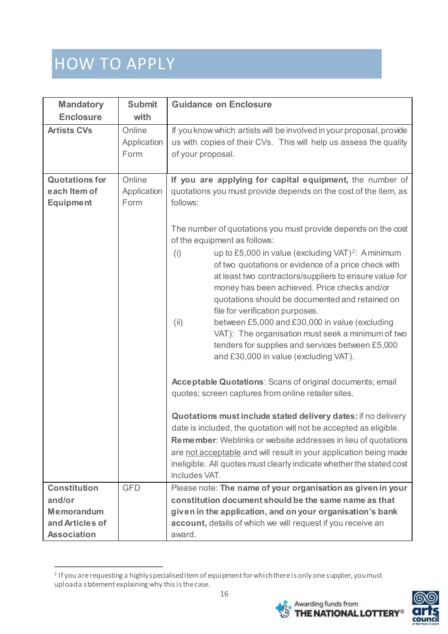$\overline{a}$ 

| <b>Mandatory</b>                                                                     | <b>Submit</b>                 | <b>Guidance on Enclosure</b>                                                                                                                                                                                                                                                                                                                                                                                                                                                                                                            |
|--------------------------------------------------------------------------------------|-------------------------------|-----------------------------------------------------------------------------------------------------------------------------------------------------------------------------------------------------------------------------------------------------------------------------------------------------------------------------------------------------------------------------------------------------------------------------------------------------------------------------------------------------------------------------------------|
| <b>Enclosure</b>                                                                     | with                          |                                                                                                                                                                                                                                                                                                                                                                                                                                                                                                                                         |
| <b>Artists CVs</b>                                                                   | Online<br>Application<br>Form | If you know which artists will be involved in your proposal, provide<br>us with copies of their CVs. This will help us assess the quality<br>of your proposal.                                                                                                                                                                                                                                                                                                                                                                          |
| <b>Quotations for</b><br>each Item of<br><b>Equipment</b>                            | Online<br>Application<br>Form | If you are applying for capital equipment, the number of<br>quotations you must provide depends on the cost of the item, as<br>follows:<br>The number of quotations you must provide depends on the cost<br>of the equipment as follows:                                                                                                                                                                                                                                                                                                |
|                                                                                      |                               | up to £5,000 in value (excluding VAT) <sup>2</sup> : Aminimum<br>(i)<br>of two quotations or evidence of a price check with<br>at least two contractors/suppliers to ensure value for<br>money has been achieved. Price checks and/or<br>quotations should be documented and retained on<br>file for verification purposes.<br>between £5,000 and £30,000 in value (excluding<br>(ii)<br>VAT): The organisation must seek a minimum of two<br>tenders for supplies and services between £5,000<br>and £30,000 in value (excluding VAT). |
|                                                                                      |                               | Acceptable Quotations: Scans of original documents; email<br>quotes; screen captures from online retailer sites.                                                                                                                                                                                                                                                                                                                                                                                                                        |
|                                                                                      |                               | Quotations must include stated delivery dates: if no delivery<br>date is included, the quotation will not be accepted as eligible.<br><b>Remember:</b> Weblinks or website addresses in lieu of quotations<br>are not acceptable and will result in your application being made<br>ineligible. All quotes must clearly indicate whether the stated cost<br>includes VAT.                                                                                                                                                                |
| <b>Constitution</b><br>and/or<br>Memorandum<br>and Articles of<br><b>Association</b> | <b>GFD</b>                    | Please note: The name of your organisation as given in your<br>constitution document should be the same name as that<br>given in the application, and on your organisation's bank<br>account, details of which we will request if you receive an<br>award.                                                                                                                                                                                                                                                                              |

<sup>2</sup> If you are requesting a highly specialised item of equipment for which there is only one supplier, you must upload a statement explaining why this is the case.



Awarding funds from<br>THE NATIONAL LOTTERY<sup>®</sup>

79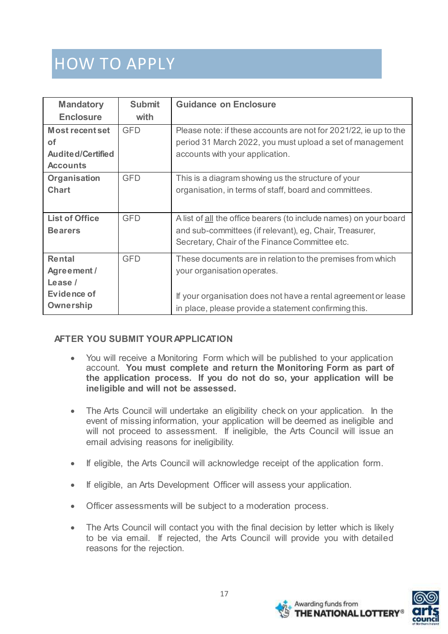| <b>Mandatory</b>         | <b>Submit</b> | <b>Guidance on Enclosure</b>                                      |
|--------------------------|---------------|-------------------------------------------------------------------|
| <b>Enclosure</b>         | with          |                                                                   |
| <b>Most recent set</b>   | <b>GFD</b>    | Please note: if these accounts are not for 2021/22, ie up to the  |
| <b>of</b>                |               | period 31 March 2022, you must upload a set of management         |
| <b>Audited/Certified</b> |               | accounts with your application.                                   |
| <b>Accounts</b>          |               |                                                                   |
| Organisation             | <b>GFD</b>    | This is a diagram showing us the structure of your                |
| <b>Chart</b>             |               | organisation, in terms of staff, board and committees.            |
|                          |               |                                                                   |
| <b>List of Office</b>    | <b>GFD</b>    | A list of all the office bearers (to include names) on your board |
| <b>Bearers</b>           |               | and sub-committees (if relevant), eg, Chair, Treasurer,           |
|                          |               | Secretary, Chair of the Finance Committee etc.                    |
| Rental                   | <b>GFD</b>    | These documents are in relation to the premises from which        |
| Agreement /              |               | your organisation operates.                                       |
| Lease /                  |               |                                                                   |
| Evidence of              |               | If your organisation does not have a rental agreement or lease    |
| Ownership                |               | in place, please provide a statement confirming this.             |

#### **AFTER YOU SUBMIT YOUR APPLICATION**

- You will receive a Monitoring Form which will be published to your application account. **You must complete and return the Monitoring Form as part of the application process. If you do not do so, your application will be ineligible and will not be assessed.**
- The Arts Council will undertake an eligibility check on your application. In the event of missing information, your application will be deemed as ineligible and will not proceed to assessment. If ineligible, the Arts Council will issue an email advising reasons for ineligibility.
- If eligible, the Arts Council will acknowledge receipt of the application form.
- If eligible, an Arts Development Officer will assess your application.
- Officer assessments will be subject to a moderation process.
- The Arts Council will contact you with the final decision by letter which is likely to be via email. If rejected, the Arts Council will provide you with detailed reasons for the rejection.

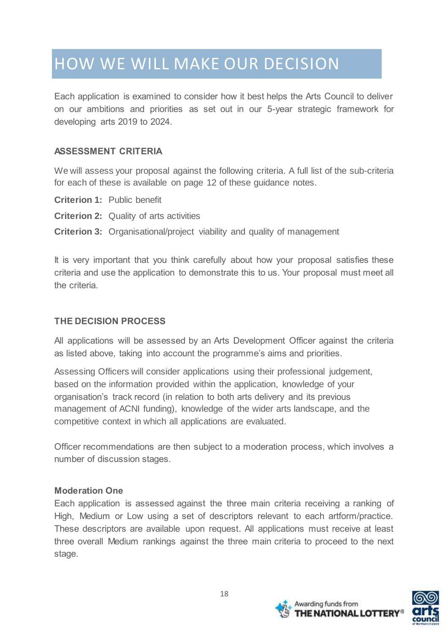# HOW WE WILL MAKE OUR DECISION

Each application is examined to consider how it best helps the Arts Council to deliver on our ambitions and priorities as set out in our 5-year strategic framework for developing arts 2019 to 2024.

#### **ASSESSMENT CRITERIA**

We will assess your proposal against the following criteria. A full list of the sub-criteria for each of these is available on page 12 of these guidance notes.

- **Criterion 1:** Public benefit
- **Criterion 2:** Quality of arts activities
- **Criterion 3:** Organisational/project viability and quality of management

It is very important that you think carefully about how your proposal satisfies these criteria and use the application to demonstrate this to us. Your proposal must meet all the criteria.

#### **THE DECISION PROCESS**

All applications will be assessed by an Arts Development Officer against the criteria as listed above, taking into account the programme's aims and priorities.

Assessing Officers will consider applications using their professional judgement, based on the information provided within the application, knowledge of your organisation's track record (in relation to both arts delivery and its previous management of ACNI funding), knowledge of the wider arts landscape, and the competitive context in which all applications are evaluated.

Officer recommendations are then subject to a moderation process, which involves a number of discussion stages.

#### **Moderation One**

Each application is assessed against the three main criteria receiving a ranking of High, Medium or Low using a set of descriptors relevant to each artform/practice. These descriptors are available upon request. All applications must receive at least three overall Medium rankings against the three main criteria to proceed to the next stage.



Awarding funds from

**NATIONAL LOTTER**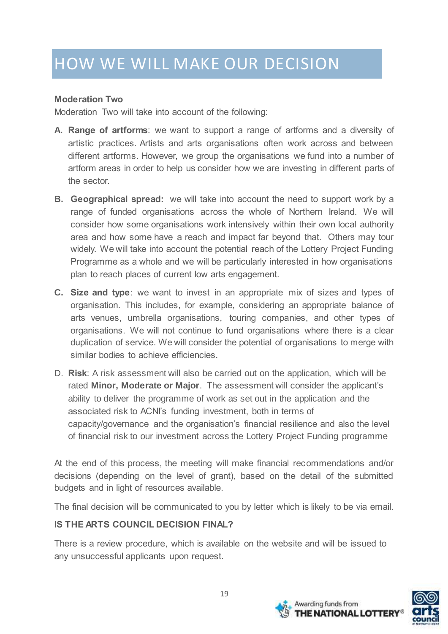#### **Moderation Two**

Moderation Two will take into account of the following:

- **A. Range of artforms**: we want to support a range of artforms and a diversity of artistic practices. Artists and arts organisations often work across and between different artforms. However, we group the organisations we fund into a number of artform areas in order to help us consider how we are investing in different parts of the sector.
- **B. Geographical spread:** we will take into account the need to support work by a range of funded organisations across the whole of Northern Ireland. We will consider how some organisations work intensively within their own local authority area and how some have a reach and impact far beyond that. Others may tour widely. We will take into account the potential reach of the Lottery Project Funding Programme as a whole and we will be particularly interested in how organisations plan to reach places of current low arts engagement.
- **C. Size and type**: we want to invest in an appropriate mix of sizes and types of organisation. This includes, for example, considering an appropriate balance of arts venues, umbrella organisations, touring companies, and other types of organisations. We will not continue to fund organisations where there is a clear duplication of service. We will consider the potential of organisations to merge with similar bodies to achieve efficiencies.
- D. **Risk**: A risk assessment will also be carried out on the application, which will be rated **Minor, Moderate or Major**. The assessment will consider the applicant's ability to deliver the programme of work as set out in the application and the associated risk to ACNI's funding investment, both in terms of capacity/governance and the organisation's financial resilience and also the level of financial risk to our investment across the Lottery Project Funding programme

At the end of this process, the meeting will make financial recommendations and/or decisions (depending on the level of grant), based on the detail of the submitted budgets and in light of resources available.

The final decision will be communicated to you by letter which is likely to be via email.

## **IS THE ARTS COUNCIL DECISION FINAL?**

There is a review procedure, which is available on the website and will be issued to any unsuccessful applicants upon request.



Awarding funds from

**IE NATIONAL LOTTER**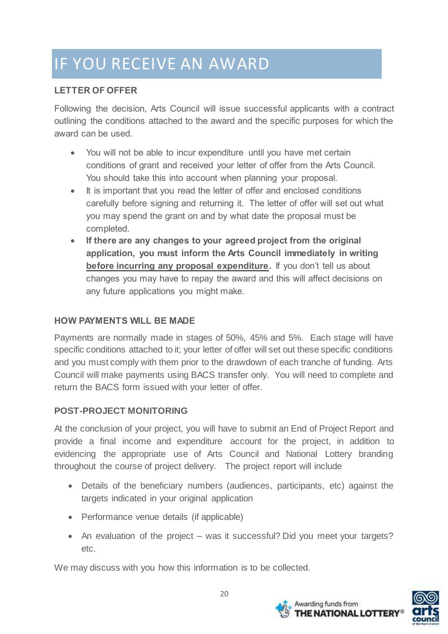# IF YOU RECEIVE AN AWARD

## **LETTER OF OFFER**

Following the decision, Arts Council will issue successful applicants with a contract outlining the conditions attached to the award and the specific purposes for which the award can be used.

- You will not be able to incur expenditure until you have met certain conditions of grant and received your letter of offer from the Arts Council. You should take this into account when planning your proposal.
- It is important that you read the letter of offer and enclosed conditions carefully before signing and returning it. The letter of offer will set out what you may spend the grant on and by what date the proposal must be completed.
- **If there are any changes to your agreed project from the original application, you must inform the Arts Council immediately in writing before incurring any proposal expenditure.** If you don't tell us about changes you may have to repay the award and this will affect decisions on any future applications you might make.

## **HOW PAYMENTS WILL BE MADE**

Payments are normally made in stages of 50%, 45% and 5%. Each stage will have specific conditions attached to it; your letter of offer will set out these specific conditions and you must comply with them prior to the drawdown of each tranche of funding. Arts Council will make payments using BACS transfer only. You will need to complete and return the BACS form issued with your letter of offer.

## **POST-PROJECT MONITORING**

At the conclusion of your project, you will have to submit an End of Project Report and provide a final income and expenditure account for the project, in addition to evidencing the appropriate use of Arts Council and National Lottery branding throughout the course of project delivery. The project report will include

- Details of the beneficiary numbers (audiences, participants, etc) against the targets indicated in your original application
- Performance venue details (if applicable)
- An evaluation of the project was it successful? Did you meet your targets? etc.

We may discuss with you how this information is to be collected.



Awarding funds from

**JE NATIONAL LOTTER**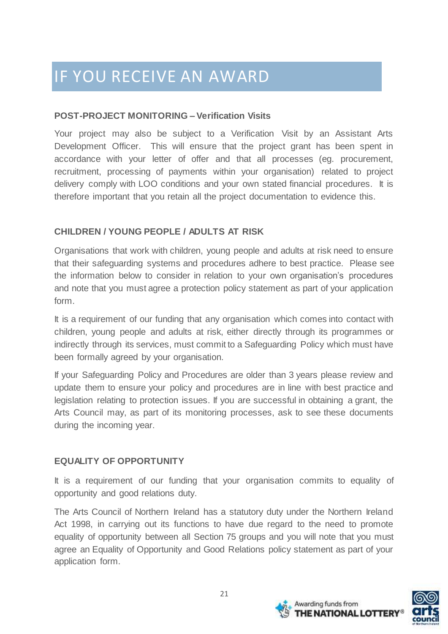# IF YOU RECEIVE AN AWARD

#### **POST-PROJECT MONITORING – Verification Visits**

Your project may also be subject to a Verification Visit by an Assistant Arts Development Officer. This will ensure that the project grant has been spent in accordance with your letter of offer and that all processes (eg. procurement, recruitment, processing of payments within your organisation) related to project delivery comply with LOO conditions and your own stated financial procedures. It is therefore important that you retain all the project documentation to evidence this.

## **CHILDREN / YOUNG PEOPLE / ADULTS AT RISK**

Organisations that work with children, young people and adults at risk need to ensure that their safeguarding systems and procedures adhere to best practice. Please see the information below to consider in relation to your own organisation's procedures and note that you must agree a protection policy statement as part of your application form.

It is a requirement of our funding that any organisation which comes into contact with children, young people and adults at risk, either directly through its programmes or indirectly through its services, must commit to a Safeguarding Policy which must have been formally agreed by your organisation.

If your Safeguarding Policy and Procedures are older than 3 years please review and update them to ensure your policy and procedures are in line with best practice and legislation relating to protection issues. If you are successful in obtaining a grant, the Arts Council may, as part of its monitoring processes, ask to see these documents during the incoming year.

#### **EQUALITY OF OPPORTUNITY**

It is a requirement of our funding that your organisation commits to equality of opportunity and good relations duty.

The Arts Council of Northern Ireland has a statutory duty under the Northern Ireland Act 1998, in carrying out its functions to have due regard to the need to promote equality of opportunity between all Section 75 groups and you will note that you must agree an Equality of Opportunity and Good Relations policy statement as part of your application form.



Awarding funds from

THE NATIONAL LOTTER